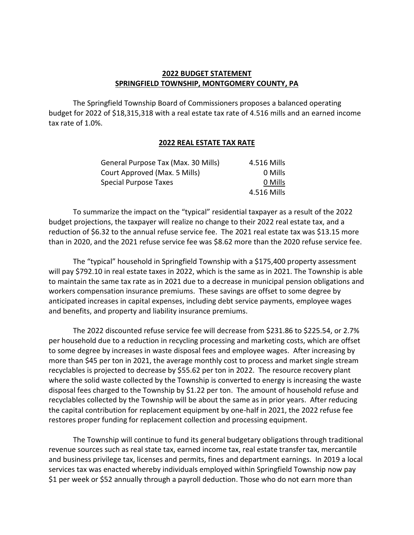## **2022 BUDGET STATEMENT SPRINGFIELD TOWNSHIP, MONTGOMERY COUNTY, PA**

The Springfield Township Board of Commissioners proposes a balanced operating budget for 2022 of \$18,315,318 with a real estate tax rate of 4.516 mills and an earned income tax rate of 1.0%.

## **2022 REAL ESTATE TAX RATE**

| General Purpose Tax (Max. 30 Mills) | 4.516 Mills |
|-------------------------------------|-------------|
| Court Approved (Max. 5 Mills)       | 0 Mills     |
| Special Purpose Taxes               | 0 Mills     |
|                                     | 4.516 Mills |

To summarize the impact on the "typical" residential taxpayer as a result of the 2022 budget projections, the taxpayer will realize no change to their 2022 real estate tax, and a reduction of \$6.32 to the annual refuse service fee. The 2021 real estate tax was \$13.15 more than in 2020, and the 2021 refuse service fee was \$8.62 more than the 2020 refuse service fee.

The "typical" household in Springfield Township with a \$175,400 property assessment will pay \$792.10 in real estate taxes in 2022, which is the same as in 2021. The Township is able to maintain the same tax rate as in 2021 due to a decrease in municipal pension obligations and workers compensation insurance premiums. These savings are offset to some degree by anticipated increases in capital expenses, including debt service payments, employee wages and benefits, and property and liability insurance premiums.

The 2022 discounted refuse service fee will decrease from \$231.86 to \$225.54, or 2.7% per household due to a reduction in recycling processing and marketing costs, which are offset to some degree by increases in waste disposal fees and employee wages. After increasing by more than \$45 per ton in 2021, the average monthly cost to process and market single stream recyclables is projected to decrease by \$55.62 per ton in 2022. The resource recovery plant where the solid waste collected by the Township is converted to energy is increasing the waste disposal fees charged to the Township by \$1.22 per ton. The amount of household refuse and recyclables collected by the Township will be about the same as in prior years. After reducing the capital contribution for replacement equipment by one-half in 2021, the 2022 refuse fee restores proper funding for replacement collection and processing equipment.

The Township will continue to fund its general budgetary obligations through traditional revenue sources such as real state tax, earned income tax, real estate transfer tax, mercantile and business privilege tax, licenses and permits, fines and department earnings. In 2019 a local services tax was enacted whereby individuals employed within Springfield Township now pay \$1 per week or \$52 annually through a payroll deduction. Those who do not earn more than